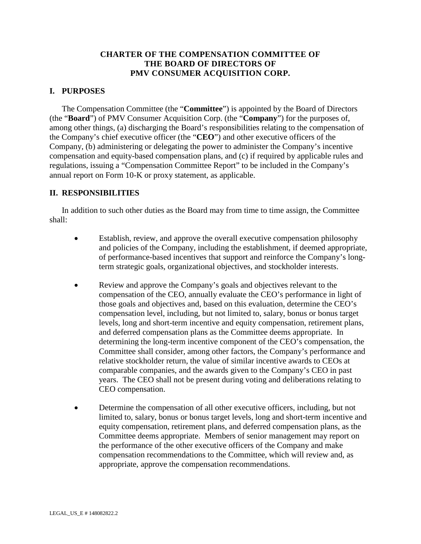# **CHARTER OF THE COMPENSATION COMMITTEE OF THE BOARD OF DIRECTORS OF PMV CONSUMER ACQUISITION CORP.**

### **I. PURPOSES**

The Compensation Committee (the "**Committee**") is appointed by the Board of Directors (the "**Board**") of PMV Consumer Acquisition Corp. (the "**Company**") for the purposes of, among other things, (a) discharging the Board's responsibilities relating to the compensation of the Company's chief executive officer (the "**CEO**") and other executive officers of the Company, (b) administering or delegating the power to administer the Company's incentive compensation and equity-based compensation plans, and (c) if required by applicable rules and regulations, issuing a "Compensation Committee Report" to be included in the Company's annual report on Form 10-K or proxy statement, as applicable.

### **II. RESPONSIBILITIES**

In addition to such other duties as the Board may from time to time assign, the Committee shall:

- Establish, review, and approve the overall executive compensation philosophy and policies of the Company, including the establishment, if deemed appropriate, of performance-based incentives that support and reinforce the Company's longterm strategic goals, organizational objectives, and stockholder interests.
- Review and approve the Company's goals and objectives relevant to the compensation of the CEO, annually evaluate the CEO's performance in light of those goals and objectives and, based on this evaluation, determine the CEO's compensation level, including, but not limited to, salary, bonus or bonus target levels, long and short-term incentive and equity compensation, retirement plans, and deferred compensation plans as the Committee deems appropriate. In determining the long-term incentive component of the CEO's compensation, the Committee shall consider, among other factors, the Company's performance and relative stockholder return, the value of similar incentive awards to CEOs at comparable companies, and the awards given to the Company's CEO in past years. The CEO shall not be present during voting and deliberations relating to CEO compensation.
- Determine the compensation of all other executive officers, including, but not limited to, salary, bonus or bonus target levels, long and short-term incentive and equity compensation, retirement plans, and deferred compensation plans, as the Committee deems appropriate. Members of senior management may report on the performance of the other executive officers of the Company and make compensation recommendations to the Committee, which will review and, as appropriate, approve the compensation recommendations.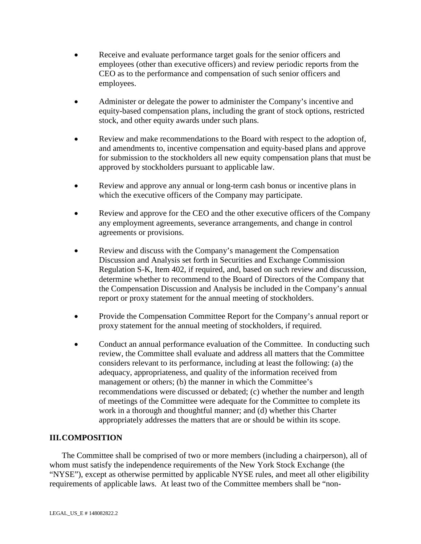- Receive and evaluate performance target goals for the senior officers and employees (other than executive officers) and review periodic reports from the CEO as to the performance and compensation of such senior officers and employees.
- Administer or delegate the power to administer the Company's incentive and equity-based compensation plans, including the grant of stock options, restricted stock, and other equity awards under such plans.
- Review and make recommendations to the Board with respect to the adoption of, and amendments to, incentive compensation and equity-based plans and approve for submission to the stockholders all new equity compensation plans that must be approved by stockholders pursuant to applicable law.
- Review and approve any annual or long-term cash bonus or incentive plans in which the executive officers of the Company may participate.
- Review and approve for the CEO and the other executive officers of the Company any employment agreements, severance arrangements, and change in control agreements or provisions.
- Review and discuss with the Company's management the Compensation Discussion and Analysis set forth in Securities and Exchange Commission Regulation S-K, Item 402, if required, and, based on such review and discussion, determine whether to recommend to the Board of Directors of the Company that the Compensation Discussion and Analysis be included in the Company's annual report or proxy statement for the annual meeting of stockholders.
- Provide the Compensation Committee Report for the Company's annual report or proxy statement for the annual meeting of stockholders, if required.
- Conduct an annual performance evaluation of the Committee. In conducting such review, the Committee shall evaluate and address all matters that the Committee considers relevant to its performance, including at least the following: (a) the adequacy, appropriateness, and quality of the information received from management or others; (b) the manner in which the Committee's recommendations were discussed or debated; (c) whether the number and length of meetings of the Committee were adequate for the Committee to complete its work in a thorough and thoughtful manner; and (d) whether this Charter appropriately addresses the matters that are or should be within its scope.

## **III.COMPOSITION**

The Committee shall be comprised of two or more members (including a chairperson), all of whom must satisfy the independence requirements of the New York Stock Exchange (the "NYSE"), except as otherwise permitted by applicable NYSE rules, and meet all other eligibility requirements of applicable laws. At least two of the Committee members shall be "non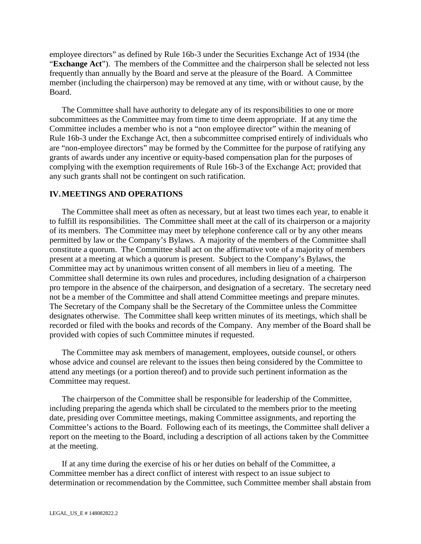employee directors" as defined by Rule 16b-3 under the Securities Exchange Act of 1934 (the "**Exchange Act**"). The members of the Committee and the chairperson shall be selected not less frequently than annually by the Board and serve at the pleasure of the Board. A Committee member (including the chairperson) may be removed at any time, with or without cause, by the Board.

The Committee shall have authority to delegate any of its responsibilities to one or more subcommittees as the Committee may from time to time deem appropriate. If at any time the Committee includes a member who is not a "non employee director" within the meaning of Rule 16b-3 under the Exchange Act, then a subcommittee comprised entirely of individuals who are "non-employee directors" may be formed by the Committee for the purpose of ratifying any grants of awards under any incentive or equity-based compensation plan for the purposes of complying with the exemption requirements of Rule 16b-3 of the Exchange Act; provided that any such grants shall not be contingent on such ratification.

#### **IV.MEETINGS AND OPERATIONS**

The Committee shall meet as often as necessary, but at least two times each year, to enable it to fulfill its responsibilities. The Committee shall meet at the call of its chairperson or a majority of its members. The Committee may meet by telephone conference call or by any other means permitted by law or the Company's Bylaws. A majority of the members of the Committee shall constitute a quorum. The Committee shall act on the affirmative vote of a majority of members present at a meeting at which a quorum is present. Subject to the Company's Bylaws, the Committee may act by unanimous written consent of all members in lieu of a meeting. The Committee shall determine its own rules and procedures, including designation of a chairperson pro tempore in the absence of the chairperson, and designation of a secretary. The secretary need not be a member of the Committee and shall attend Committee meetings and prepare minutes. The Secretary of the Company shall be the Secretary of the Committee unless the Committee designates otherwise. The Committee shall keep written minutes of its meetings, which shall be recorded or filed with the books and records of the Company. Any member of the Board shall be provided with copies of such Committee minutes if requested.

The Committee may ask members of management, employees, outside counsel, or others whose advice and counsel are relevant to the issues then being considered by the Committee to attend any meetings (or a portion thereof) and to provide such pertinent information as the Committee may request.

The chairperson of the Committee shall be responsible for leadership of the Committee, including preparing the agenda which shall be circulated to the members prior to the meeting date, presiding over Committee meetings, making Committee assignments, and reporting the Committee's actions to the Board. Following each of its meetings, the Committee shall deliver a report on the meeting to the Board, including a description of all actions taken by the Committee at the meeting.

If at any time during the exercise of his or her duties on behalf of the Committee, a Committee member has a direct conflict of interest with respect to an issue subject to determination or recommendation by the Committee, such Committee member shall abstain from